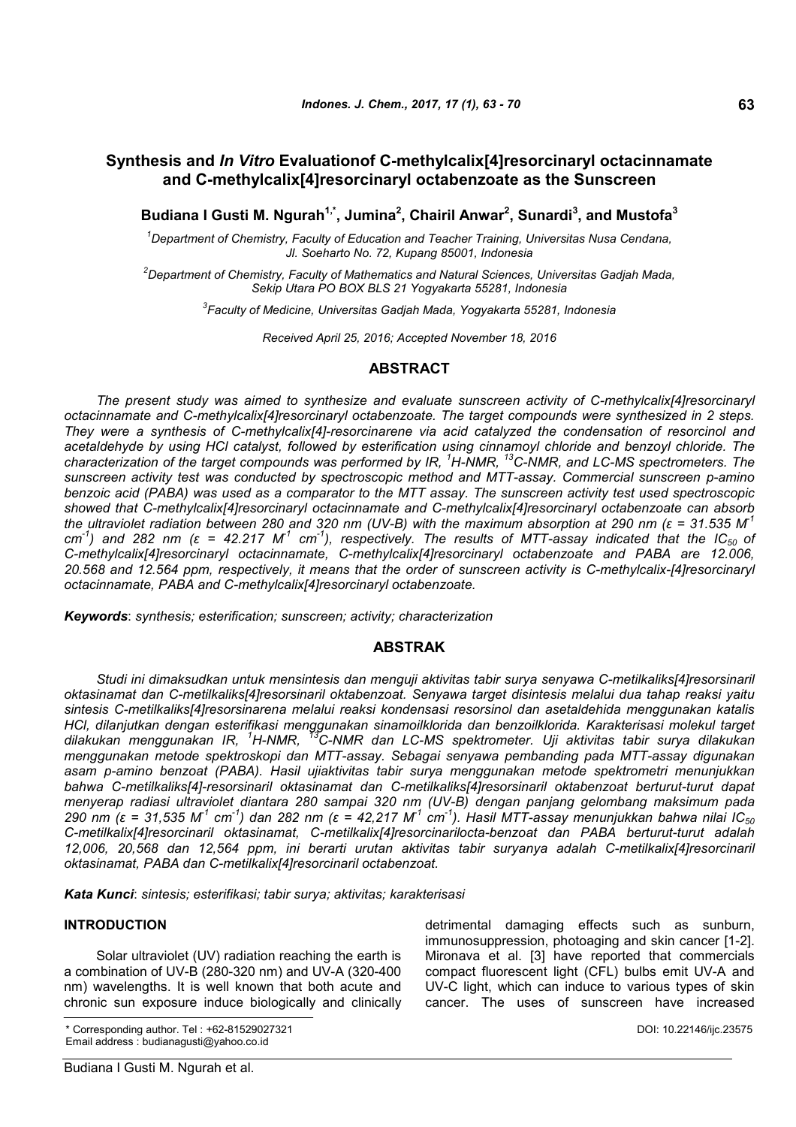# **Synthesis and** *In Vitro* **Evaluationof C-methylcalix[4]resorcinaryl octacinnamate and C-methylcalix[4]resorcinaryl octabenzoate as the Sunscreen**

**Budiana I Gusti M. Ngurah1,\*, Jumina<sup>2</sup> , Chairil Anwar<sup>2</sup> , Sunardi<sup>3</sup> , and Mustofa<sup>3</sup>**

*<sup>1</sup>Department of Chemistry, Faculty of Education and Teacher Training, Universitas Nusa Cendana, Jl. Soeharto No. 72, Kupang 85001, Indonesia*

*<sup>2</sup>Department of Chemistry, Faculty of Mathematics and Natural Sciences, Universitas Gadjah Mada, Sekip Utara PO BOX BLS 21 Yogyakarta 55281, Indonesia*

*3 Faculty of Medicine, Universitas Gadjah Mada, Yogyakarta 55281, Indonesia*

*Received April 25, 2016; Accepted November 18, 2016*

## **ABSTRACT**

*The present study was aimed to synthesize and evaluate sunscreen activity of C-methylcalix[4]resorcinaryl octacinnamate and C-methylcalix[4]resorcinaryl octabenzoate. The target compounds were synthesized in 2 steps. They were a synthesis of C-methylcalix[4]-resorcinarene via acid catalyzed the condensation of resorcinol and acetaldehyde by using HCl catalyst, followed by esterification using cinnamoyl chloride and benzoyl chloride. The characterization of the target compounds was performed by IR, <sup>1</sup>H-NMR, <sup>13</sup>C-NMR, and LC-MS spectrometers. The sunscreen activity test was conducted by spectroscopic method and MTT-assay. Commercial sunscreen p-amino benzoic acid (PABA) was used as a comparator to the MTT assay. The sunscreen activity test used spectroscopic showed that C-methylcalix[4]resorcinaryl octacinnamate and C-methylcalix[4]resorcinaryl octabenzoate can absorb* the ultraviolet radiation between 280 and 320 nm (UV-B) with the maximum absorption at 290 nm ( $\varepsilon$  = 31.535 M<sup>1</sup>  $cm^{-1}$ ) and 282 nm (ε = 42.217 M<sup>-1</sup> cm<sup>-1</sup>), respectively. The results of MTT-assay indicated that the IC<sub>50</sub> of *C-methylcalix[4]resorcinaryl octacinnamate, C-methylcalix[4]resorcinaryl octabenzoate and PABA are 12.006, 20.568 and 12.564 ppm, respectively, it means that the order of sunscreen activity is C-methylcalix-[4]resorcinaryl octacinnamate, PABA and C-methylcalix[4]resorcinaryl octabenzoate.*

*Keywords*: *synthesis; esterification; sunscreen; activity; characterization*

## **ABSTRAK**

*Studi ini dimaksudkan untuk mensintesis dan menguji aktivitas tabir surya senyawa C-metilkaliks[4]resorsinaril oktasinamat dan C-metilkaliks[4]resorsinaril oktabenzoat. Senyawa target disintesis melalui dua tahap reaksi yaitu sintesis C-metilkaliks[4]resorsinarena melalui reaksi kondensasi resorsinol dan asetaldehida menggunakan katalis HCl, dilanjutkan dengan esterifikasi menggunakan sinamoilklorida dan benzoilklorida. Karakterisasi molekul target dilakukan menggunakan IR, <sup>1</sup>H-NMR, <sup>13</sup>C-NMR dan LC-MS spektrometer. Uji aktivitas tabir surya dilakukan menggunakan metode spektroskopi dan MTT-assay. Sebagai senyawa pembanding pada MTT-assay digunakan asam p-amino benzoat (PABA). Hasil ujiaktivitas tabir surya menggunakan metode spektrometri menunjukkan bahwa C-metilkaliks[4]-resorsinaril oktasinamat dan C-metilkaliks[4]resorsinaril oktabenzoat berturut-turut dapat menyerap radiasi ultraviolet diantara 280 sampai 320 nm (UV-B) dengan panjang gelombang maksimum pada* 290 nm ( $\epsilon$  = 31,535 M<sup>1</sup> cm<sup>-1</sup>) dan 282 nm ( $\epsilon$  = 42,217 M<sup>1</sup> cm<sup>-1</sup>). Hasil MTT-assay menunjukkan bahwa nilai IC<sub>50</sub> *C-metilkalix[4]resorcinaril oktasinamat, C-metilkalix[4]resorcinarilocta-benzoat dan PABA berturut-turut adalah 12,006, 20,568 dan 12,564 ppm, ini berarti urutan aktivitas tabir suryanya adalah C-metilkalix[4]resorcinaril oktasinamat, PABA dan C-metilkalix[4]resorcinaril octabenzoat.*

*Kata Kunci*: *sintesis; esterifikasi; tabir surya; aktivitas; karakterisasi*

#### **INTRODUCTION**

Solar ultraviolet (UV) radiation reaching the earth is a combination of UV-B (280-320 nm) and UV-A (320-400 nm) wavelengths. It is well known that both acute and chronic sun exposure induce biologically and clinically detrimental damaging effects such as sunburn, immunosuppression, photoaging and skin cancer [1-2]. Mironava et al. [3] have reported that commercials compact fluorescent light (CFL) bulbs emit UV-A and UV-C light, which can induce to various types of skin cancer. The uses of sunscreen have increased

<sup>\*</sup> Corresponding author. Tel : +62-81529027321 Email address : budianagusti@yahoo.co.id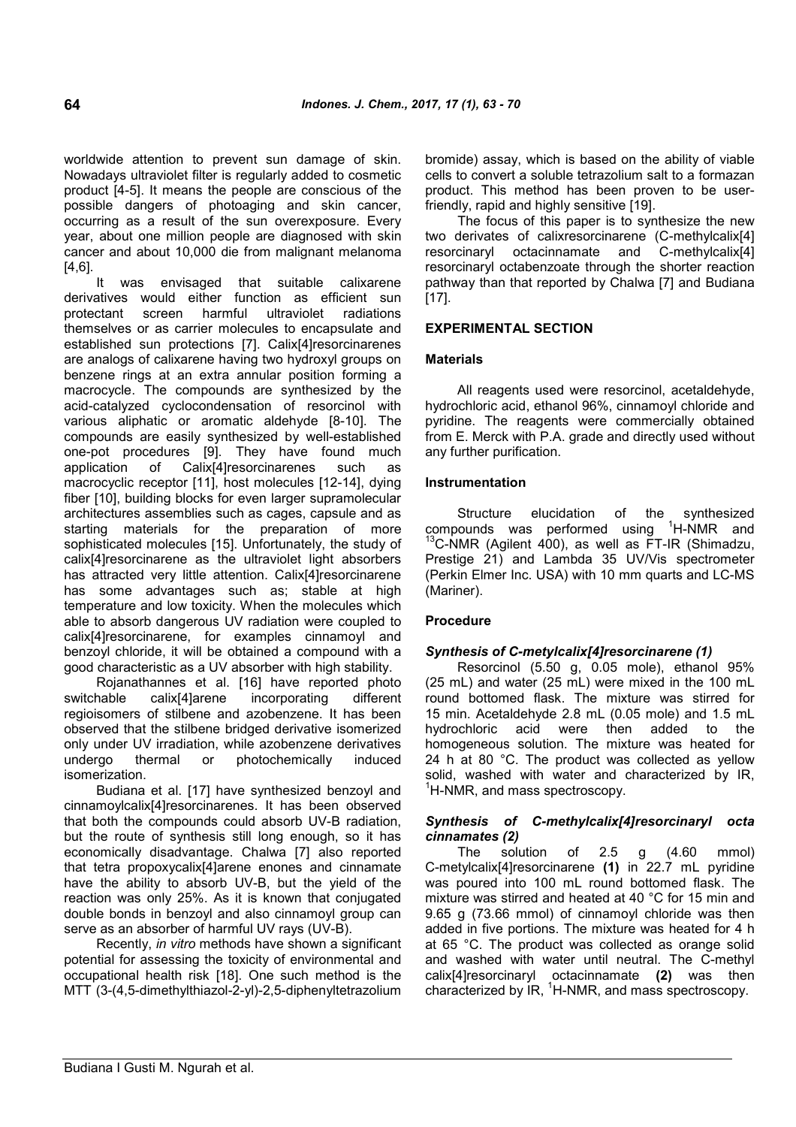worldwide attention to prevent sun damage of skin. Nowadays ultraviolet filter is regularly added to cosmetic product [4-5]. It means the people are conscious of the possible dangers of photoaging and skin cancer, occurring as a result of the sun overexposure. Every year, about one million people are diagnosed with skin cancer and about 10,000 die from malignant melanoma [4,6].

It was envisaged that suitable calixarene derivatives would either function as efficient sun protectant screen harmful ultraviolet radiations themselves or as carrier molecules to encapsulate and established sun protections [7]. Calix[4]resorcinarenes are analogs of calixarene having two hydroxyl groups on benzene rings at an extra annular position forming a macrocycle. The compounds are synthesized by the acid-catalyzed cyclocondensation of resorcinol with various aliphatic or aromatic aldehyde [8-10]. The compounds are easily synthesized by well-established one-pot procedures [9]. They have found much application of Calix[4]resorcinarenes such as macrocyclic receptor [11], host molecules [12-14], dying fiber [10], building blocks for even larger supramolecular architectures assemblies such as cages, capsule and as starting materials for the preparation of more sophisticated molecules [15]. Unfortunately, the study of calix[4]resorcinarene as the ultraviolet light absorbers has attracted very little attention. Calix[4]resorcinarene has some advantages such as; stable at high temperature and low toxicity. When the molecules which able to absorb dangerous UV radiation were coupled to calix[4]resorcinarene, for examples cinnamoyl and benzoyl chloride, it will be obtained a compound with a good characteristic as a UV absorber with high stability.

Rojanathannes et al. [16] have reported photo switchable calix[4]arene incorporating different regioisomers of stilbene and azobenzene. It has been observed that the stilbene bridged derivative isomerized only under UV irradiation, while azobenzene derivatives undergo thermal or photochemically induced isomerization.

Budiana et al. [17] have synthesized benzoyl and cinnamoylcalix[4]resorcinarenes. It has been observed that both the compounds could absorb UV-B radiation, but the route of synthesis still long enough, so it has economically disadvantage. Chalwa [7] also reported that tetra propoxycalix[4]arene enones and cinnamate have the ability to absorb UV-B, but the yield of the reaction was only 25%. As it is known that conjugated double bonds in benzoyl and also cinnamoyl group can serve as an absorber of harmful UV rays (UV-B).

Recently, *in vitro* methods have shown a significant potential for assessing the toxicity of environmental and occupational health risk [18]. One such method is the MTT (3-(4,5-dimethylthiazol-2-yl)-2,5-diphenyltetrazolium bromide) assay, which is based on the ability of viable cells to convert a soluble tetrazolium salt to a formazan product. This method has been proven to be userfriendly, rapid and highly sensitive [19].

The focus of this paper is to synthesize the new two derivates of calixresorcinarene (C-methylcalix[4] resorcinaryl octacinnamate and C-methylcalix[4] resorcinaryl octabenzoate through the shorter reaction pathway than that reported by Chalwa [7] and Budiana [17].

# **EXPERIMENTAL SECTION**

## **Materials**

All reagents used were resorcinol, acetaldehyde, hydrochloric acid, ethanol 96%, cinnamoyl chloride and pyridine. The reagents were commercially obtained from E. Merck with P.A. grade and directly used without any further purification.

### **Instrumentation**

Structure elucidation of the synthesized compounds was performed using  ${}^{1}H\text{-}NMR$  and <sup>3</sup>C-NMR (Agilent 400), as well as FT-IR (Shimadzu, Prestige 21) and Lambda 35 UV/Vis spectrometer (Perkin Elmer Inc. USA) with 10 mm quarts and LC-MS (Mariner).

# **Procedure**

### *Synthesis of C-metylcalix[4]resorcinarene (1)*

Resorcinol (5.50 g, 0.05 mole), ethanol 95% (25 mL) and water (25 mL) were mixed in the 100 mL round bottomed flask. The mixture was stirred for 15 min. Acetaldehyde 2.8 mL (0.05 mole) and 1.5 mL hydrochloric acid were then added to the homogeneous solution. The mixture was heated for 24 h at 80 °C. The product was collected as yellow solid, washed with water and characterized by IR,  ${}^{1}$ H-NMR, and mass spectroscopy.

## *Synthesis of C-methylcalix[4]resorcinaryl octa cinnamates (2)*

The solution of 2.5 g (4.60 mmol) C-metylcalix[4]resorcinarene **(1)** in 22.7 mL pyridine was poured into 100 mL round bottomed flask. The mixture was stirred and heated at 40 °C for 15 min and 9.65 g (73.66 mmol) of cinnamoyl chloride was then added in five portions. The mixture was heated for 4 h at 65 °C. The product was collected as orange solid and washed with water until neutral. The C-methyl calix[4]resorcinaryl octacinnamate **(2)** was then characterized by  $IR$ ,  ${}^{1}$ H-NMR, and mass spectroscopy.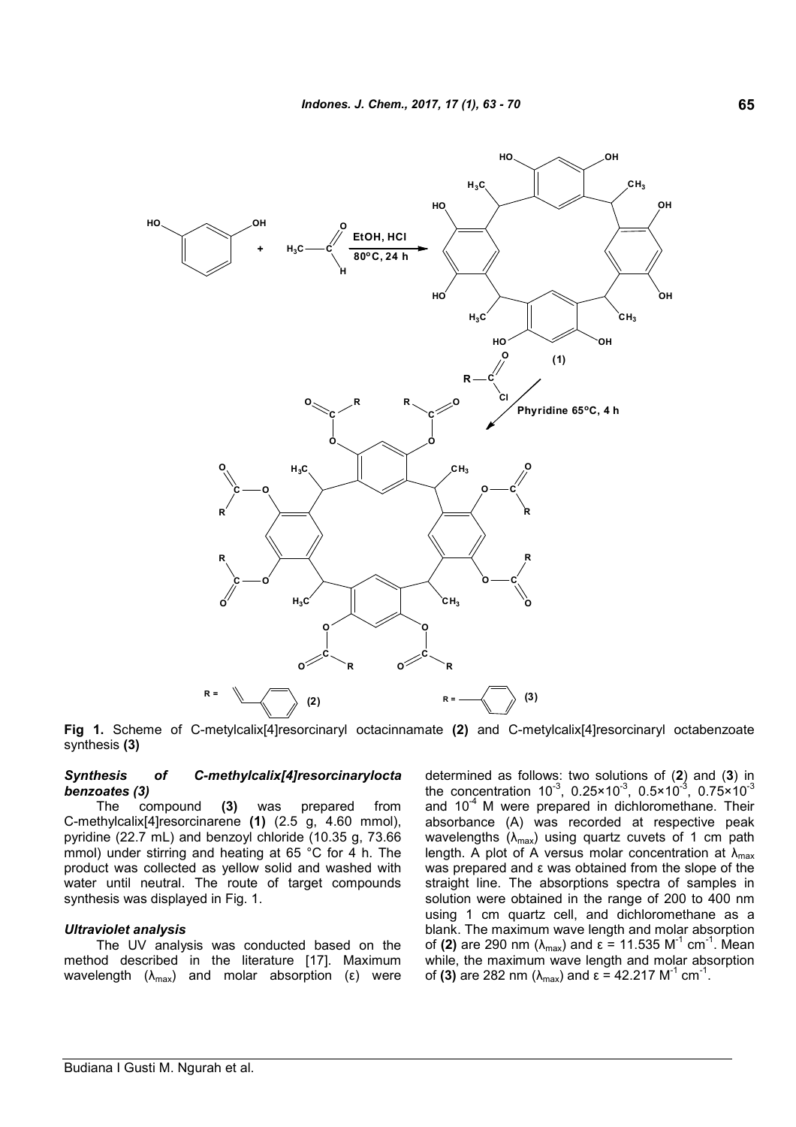

**Fig 1.** Scheme of C-metylcalix[4]resorcinaryl octacinnamate **(2)** and C-metylcalix[4]resorcinaryl octabenzoate synthesis **(3)**

#### *Synthesis of C-methylcalix[4]resorcinarylocta benzoates (3)*

The compound **(3)** was prepared from C-methylcalix[4]resorcinarene **(1)** (2.5 g, 4.60 mmol), pyridine (22.7 mL) and benzoyl chloride (10.35 g, 73.66 mmol) under stirring and heating at 65 °C for 4 h. The product was collected as yellow solid and washed with water until neutral. The route of target compounds synthesis was displayed in Fig. 1.

### *Ultraviolet analysis*

The UV analysis was conducted based on the method described in the literature [17]. Maximum wavelength  $(λ_{max})$  and molar absorption (ε) were determined as follows: two solutions of (**2**) and (**3**) in the concentration  $10^{-3}$ , 0.25×10<sup>-3</sup>, 0.5×10<sup>-3</sup>, 0.75×10<sup>-3</sup> and  $10^{-4}$  M were prepared in dichloromethane. Their absorbance (A) was recorded at respective peak wavelengths  $(\lambda_{max})$  using quartz cuvets of 1 cm path length. A plot of A versus molar concentration at  $\lambda_{\text{max}}$ was prepared and ε was obtained from the slope of the straight line. The absorptions spectra of samples in solution were obtained in the range of 200 to 400 nm using 1 cm quartz cell, and dichloromethane as a blank. The maximum wave length and molar absorption of (2) are 290 nm (λ<sub>max</sub>) and ε = 11.535 M<sup>-1</sup> cm<sup>-1</sup>. Mean while, the maximum wave length and molar absorption of **(3)** are 282 nm (λ<sub>max</sub>) and ε = 42.217 M<sup>-1</sup> cm<sup>-1</sup>.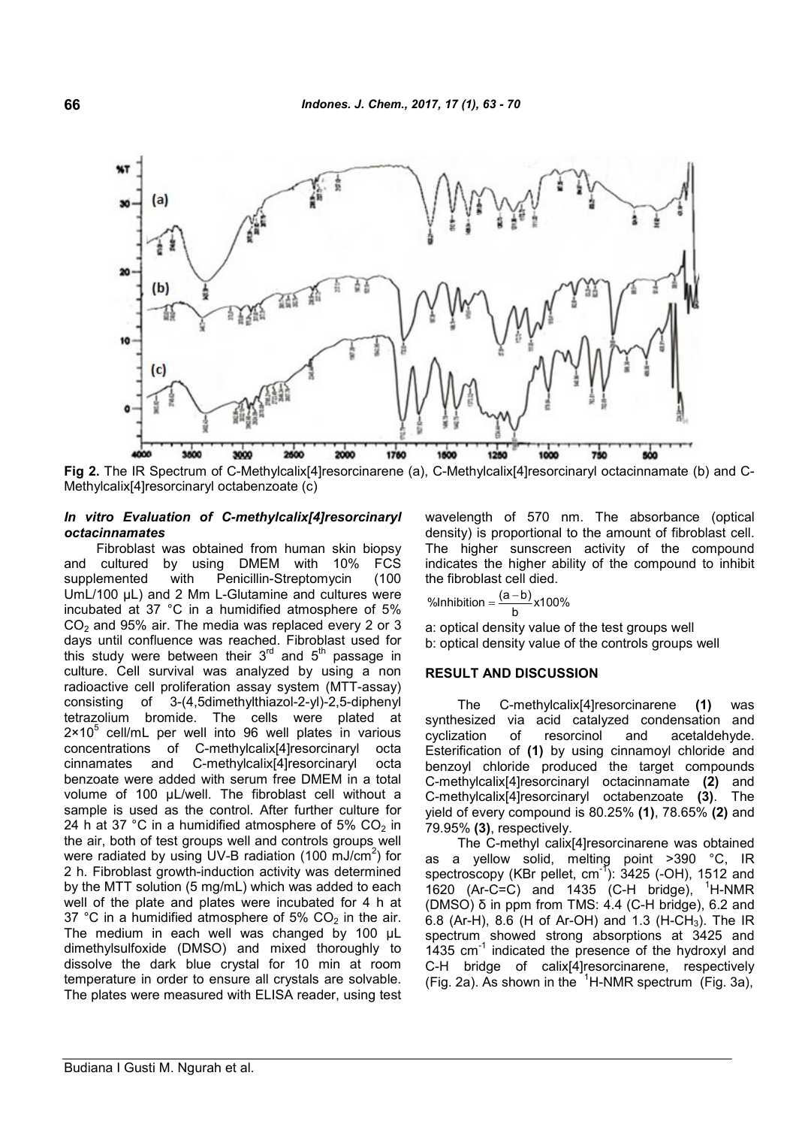

**Fig 2.** The IR Spectrum of C-Methylcalix[4]resorcinarene (a), C-Methylcalix[4]resorcinaryl octacinnamate (b) and C-Methylcalix[4]resorcinaryl octabenzoate (c)

#### *In vitro Evaluation of C-methylcalix[4]resorcinaryl octacinnamates*

Fibroblast was obtained from human skin biopsy and cultured by using DMEM with 10% FCS supplemented with Penicillin-Streptomycin (100 UmL/100  $\mu$ L) and 2 Mm L-Glutamine and cultures were incubated at 37 °C in a humidified atmosphere of 5%  $CO<sub>2</sub>$  and 95% air. The media was replaced every 2 or 3 days until confluence was reached. Fibroblast used for this study were between their  $3<sup>rd</sup>$  and  $5<sup>th</sup>$  passage in culture. Cell survival was analyzed by using a non radioactive cell proliferation assay system (MTT-assay) consisting of 3-(4,5dimethylthiazol-2-yl)-2,5-diphenyl tetrazolium bromide. The cells were plated at  $2 \times 10^5$  cell/mL per well into 96 well plates in various concentrations of C-methylcalix[4]resorcinaryl octa cinnamates and C-methylcalix[4]resorcinaryl octa benzoate were added with serum free DMEM in a total volume of 100 µL/well. The fibroblast cell without a sample is used as the control. After further culture for 24 h at 37 °C in a humidified atmosphere of 5%  $CO<sub>2</sub>$  in the air, both of test groups well and controls groups well were radiated by using UV-B radiation (100 mJ/cm $^2$ ) for 2 h. Fibroblast growth-induction activity was determined by the MTT solution (5 mg/mL) which was added to each well of the plate and plates were incubated for 4 h at 37 °C in a humidified atmosphere of 5%  $CO<sub>2</sub>$  in the air. The medium in each well was changed by 100 µL dimethylsulfoxide (DMSO) and mixed thoroughly to dissolve the dark blue crystal for 10 min at room temperature in order to ensure all crystals are solvable. The plates were measured with ELISA reader, using test

wavelength of 570 nm. The absorbance (optical density) is proportional to the amount of fibroblast cell. The higher sunscreen activity of the compound indicates the higher ability of the compound to inhibit the fibroblast cell died.

$$
\% Inhibition = \frac{(a-b)}{b} \times 100\%
$$

a: optical density value of the test groups well b: optical density value of the controls groups well

#### **RESULT AND DISCUSSION**

The C-methylcalix[4]resorcinarene **(1)** was synthesized via acid catalyzed condensation and cyclization of resorcinol and acetaldehyde. Esterification of **(1)** by using cinnamoyl chloride and benzoyl chloride produced the target compounds C-methylcalix[4]resorcinaryl octacinnamate **(2)** and C-methylcalix[4]resorcinaryl octabenzoate **(3)**. The yield of every compound is 80.25% **(1)**, 78.65% **(2)** and 79.95% **(3)**, respectively.

The C-methyl calix[4]resorcinarene was obtained as a yellow solid, melting point >390 °C, IR spectroscopy (KBr pellet,  $cm^{-1}$ ): 3425 (-OH), 1512 and 1620 (Ar-C=C) and 1435 (C-H bridge),  $H-NMR$ (DMSO) δ in ppm from TMS: 4.4 (C-H bridge), 6.2 and 6.8 (Ar-H), 8.6 (H of Ar-OH) and 1.3 (H-CH<sub>3</sub>). The IR spectrum showed strong absorptions at 3425 and 1435  $cm^{-1}$  indicated the presence of the hydroxyl and C-H bridge of calix[4]resorcinarene, respectively (Fig. 2a). As shown in the  $1$ H-NMR spectrum (Fig. 3a),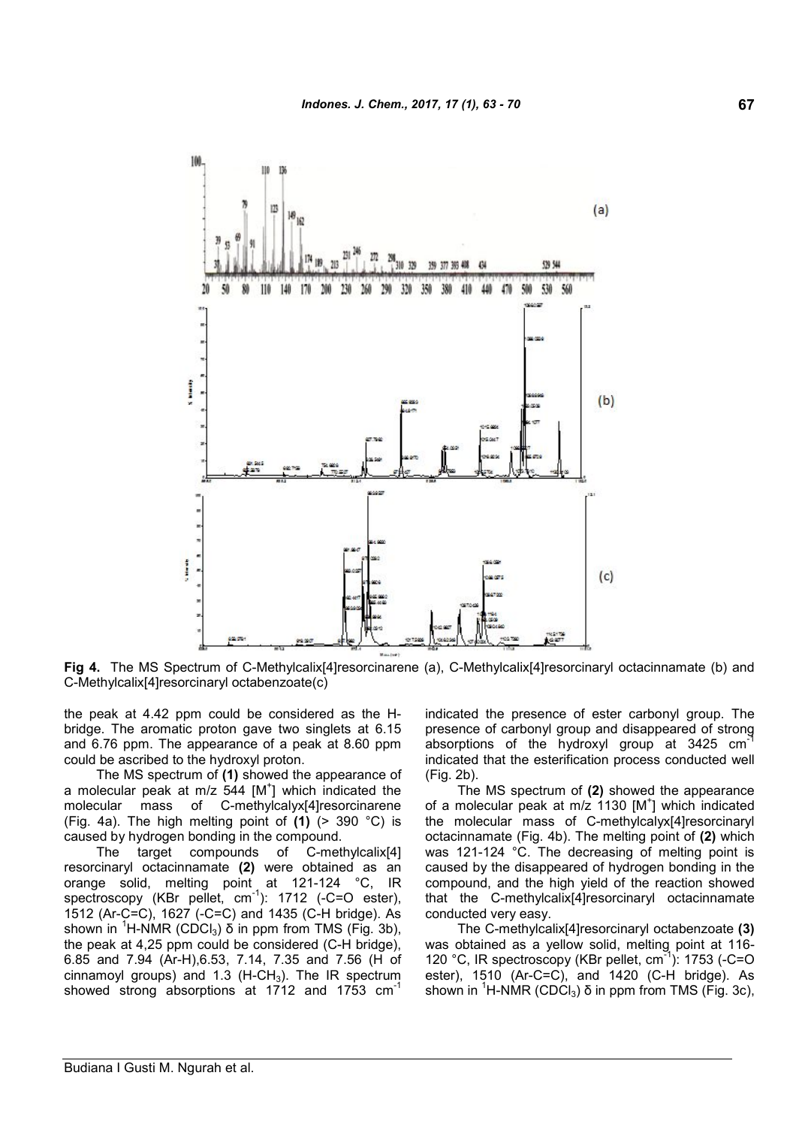

**Fig 4.** The MS Spectrum of C-Methylcalix[4]resorcinarene (a), C-Methylcalix[4]resorcinaryl octacinnamate (b) and C-Methylcalix[4]resorcinaryl octabenzoate(c)

the peak at 4.42 ppm could be considered as the Hbridge. The aromatic proton gave two singlets at 6.15 and 6.76 ppm. The appearance of a peak at 8.60 ppm could be ascribed to the hydroxyl proton.

The MS spectrum of **(1)** showed the appearance of a molecular peak at m/z  $544$  [M<sup>+</sup>] which indicated the molecular mass of C-methylcalyx[4]resorcinarene (Fig. 4a). The high melting point of **(1)** (> 390 °C) is caused by hydrogen bonding in the compound.

The target compounds of C-methylcalix[4] resorcinaryl octacinnamate **(2)** were obtained as an orange solid, melting point at 121-124 °C, IR spectroscopy (KBr pellet, cm<sup>-1</sup>): 1712 (-C=O ester), 1512 (Ar-C=C), 1627 (-C=C) and 1435 (C-H bridge). As shown in <sup>1</sup>H-NMR (CDCl<sub>3</sub>) δ in ppm from TMS (Fig. 3b), the peak at 4,25 ppm could be considered (C-H bridge), 6.85 and 7.94 (Ar-H),6.53, 7.14, 7.35 and 7.56 (H of cinnamoyl groups) and 1.3  $(H-CH<sub>3</sub>)$ . The IR spectrum showed strong absorptions at 1712 and 1753 cm<sup>-1</sup>

indicated the presence of ester carbonyl group. The presence of carbonyl group and disappeared of strong absorptions of the hydroxyl group at 3425 cm indicated that the esterification process conducted well (Fig. 2b).

The MS spectrum of **(2)** showed the appearance of a molecular peak at m/z 1130 [M<sup>+</sup>] which indicated the molecular mass of C-methylcalyx[4]resorcinaryl octacinnamate (Fig. 4b). The melting point of **(2)** which was 121-124 °C. The decreasing of melting point is caused by the disappeared of hydrogen bonding in the compound, and the high yield of the reaction showed that the C-methylcalix[4]resorcinaryl octacinnamate conducted very easy.

The C-methylcalix[4]resorcinaryl octabenzoate **(3)** was obtained as a yellow solid, melting point at 116- 120 °C, IR spectroscopy (KBr pellet, cm<sup>-1</sup>): 1753 (-C=O ester), 1510 (Ar-C=C), and 1420 (C-H bridge). As shown in <sup>1</sup>H-NMR (CDCl<sub>3</sub>) δ in ppm from TMS (Fig. 3c),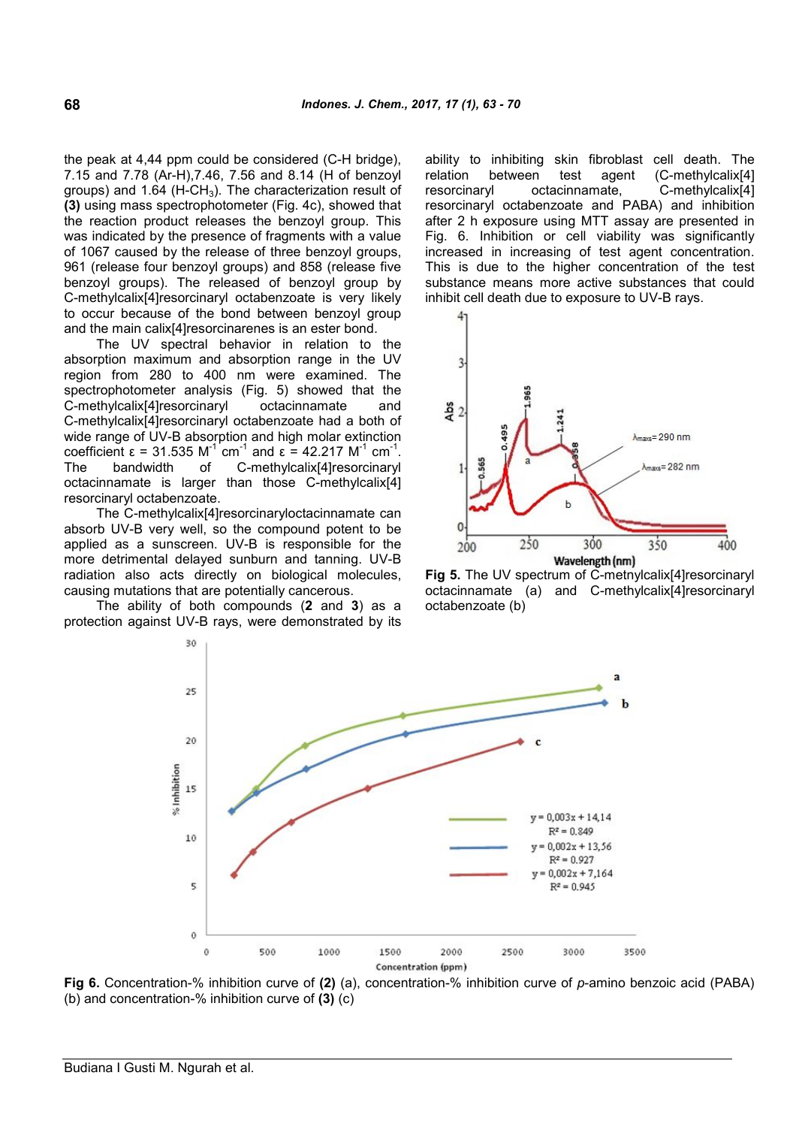the peak at 4,44 ppm could be considered (C-H bridge), 7.15 and 7.78 (Ar-H),7.46, 7.56 and 8.14 (H of benzoyl groups) and 1.64 (H-CH<sub>3</sub>). The characterization result of resorcinaryl **(3)** using mass spectrophotometer (Fig. 4c), showed that the reaction product releases the benzoyl group. This was indicated by the presence of fragments with a value of 1067 caused by the release of three benzoyl groups, 961 (release four benzoyl groups) and 858 (release five benzoyl groups). The released of benzoyl group by C-methylcalix[4]resorcinaryl octabenzoate is very likely to occur because of the bond between benzoyl group and the main calix[4]resorcinarenes is an ester bond.

The UV spectral behavior in relation to the absorption maximum and absorption range in the UV region from 280 to 400 nm were examined. The spectrophotometer analysis (Fig. 5) showed that the C-methylcalix[4]resorcinaryl octacinnamate and C-methylcalix[4]resorcinaryl octabenzoate had a both of wide range of UV-B absorption and high molar extinction coefficient  $\varepsilon = 31.535 \text{ M}^{-1} \text{ cm}^{-1}$  and  $\varepsilon = 42.217 \text{ M}^{-1} \text{ cm}^{-1}$ . The bandwidth of C-methylcalix[4]resorcinaryl octacinnamate is larger than those C-methylcalix[4] resorcinaryl octabenzoate.

The C-methylcalix[4]resorcinaryloctacinnamate can absorb UV-B very well, so the compound potent to be applied as a sunscreen. UV-B is responsible for the more detrimental delayed sunburn and tanning. UV-B radiation also acts directly on biological molecules, causing mutations that are potentially cancerous.

The ability of both compounds (**2** and **3**) as a protection against UV-B rays, were demonstrated by its ability to inhibiting skin fibroblast cell death. The relation between test agent (C-methylcalix[4] octacinnamate, C-methylcalix<sup>[4]</sup> resorcinaryl octabenzoate and PABA) and inhibition after 2 h exposure using MTT assay are presented in Fig. 6. Inhibition or cell viability was significantly increased in increasing of test agent concentration. This is due to the higher concentration of the test substance means more active substances that could inhibit cell death due to exposure to UV-B rays.



**Fig 5.** The UV spectrum of C-metnylcalix[4]resorcinaryl octacinnamate (a) and C-methylcalix[4]resorcinaryl octabenzoate (b)



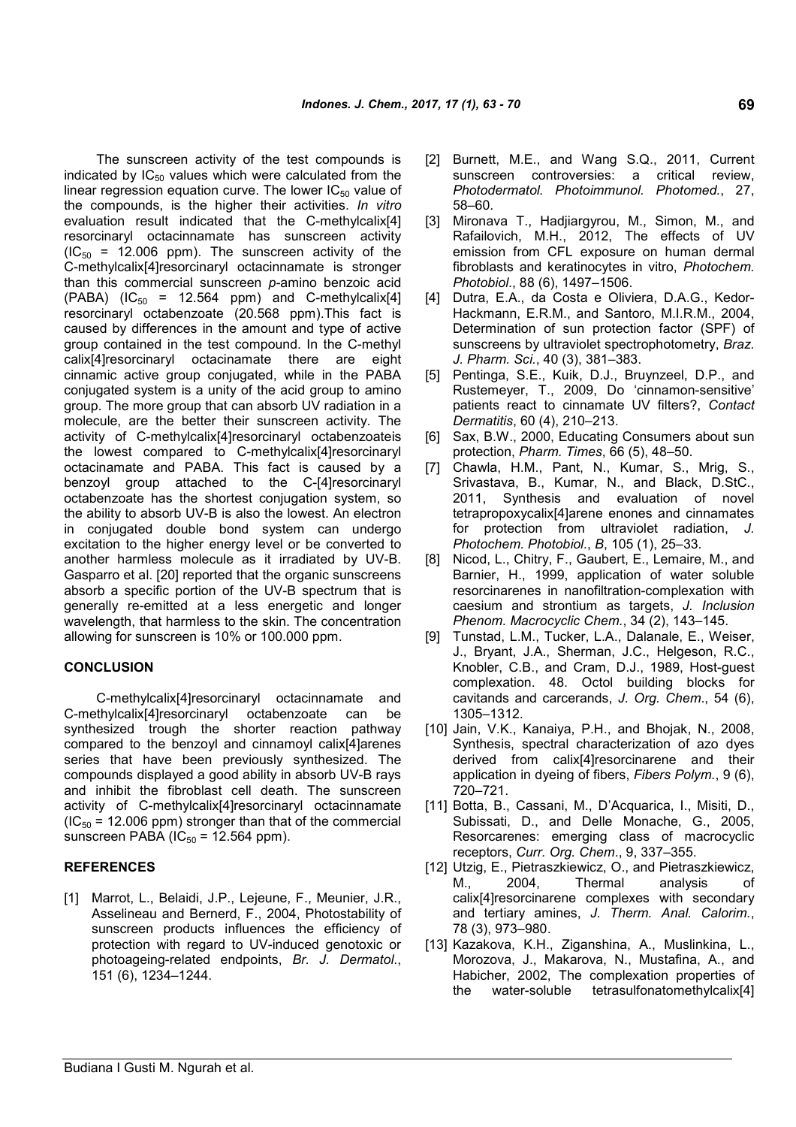The sunscreen activity of the test compounds is indicated by  $IC_{50}$  values which were calculated from the linear regression equation curve. The lower  $IC_{50}$  value of the compounds, is the higher their activities. *In vitro* evaluation result indicated that the C-methylcalix[4] resorcinaryl octacinnamate has sunscreen activity  $(IC_{50} = 12.006$  ppm). The sunscreen activity of the C-methylcalix[4]resorcinaryl octacinnamate is stronger than this commercial sunscreen *p-*amino benzoic acid  $(PABA)$  (IC<sub>50</sub> = 12.564 ppm) and C-methylcalix[4] resorcinaryl octabenzoate (20.568 ppm).This fact is caused by differences in the amount and type of active group contained in the test compound. In the C-methyl calix[4]resorcinaryl octacinamate there are eight cinnamic active group conjugated, while in the PABA conjugated system is a unity of the acid group to amino group. The more group that can absorb UV radiation in a molecule, are the better their sunscreen activity. The activity of C-methylcalix[4]resorcinaryl octabenzoateis the lowest compared to C-methylcalix[4]resorcinaryl octacinamate and PABA. This fact is caused by a benzoyl group attached to the C-[4]resorcinaryl octabenzoate has the shortest conjugation system, so the ability to absorb UV-B is also the lowest. An electron in conjugated double bond system can undergo excitation to the higher energy level or be converted to another harmless molecule as it irradiated by UV-B. Gasparro et al. [20] reported that the organic sunscreens absorb a specific portion of the UV-B spectrum that is generally re-emitted at a less energetic and longer wavelength, that harmless to the skin. The concentration allowing for sunscreen is 10% or 100.000 ppm.

# **CONCLUSION**

C-methylcalix[4]resorcinaryl octacinnamate and C-methylcalix[4]resorcinaryl octabenzoate can be synthesized trough the shorter reaction pathway compared to the benzoyl and cinnamoyl calix[4]arenes series that have been previously synthesized. The compounds displayed a good ability in absorb UV-B rays and inhibit the fibroblast cell death. The sunscreen activity of C-methylcalix[4]resorcinaryl octacinnamate  $(IC_{50} = 12.006$  ppm) stronger than that of the commercial sunscreen PABA ( $IC_{50}$  = 12.564 ppm).

### **REFERENCES**

[1] Marrot, L., Belaidi, J.P., Lejeune, F., Meunier, J.R., Asselineau and Bernerd, F., 2004, Photostability of sunscreen products influences the efficiency of protection with regard to UV-induced genotoxic or photoageing-related endpoints, *Br. J. Dermatol*., 151 (6), 1234–1244.

- [2] Burnett, M.E., and Wang S.Q., 2011, Current sunscreen controversies: a critical review, *Photodermatol. Photoimmunol. Photomed.*, 27, 58–60.
- [3] Mironava T., Hadjiargyrou, M., Simon, M., and Rafailovich, M.H., 2012, The effects of UV emission from CFL exposure on human dermal fibroblasts and keratinocytes in vitro, *Photochem. Photobiol*., 88 (6), 1497–1506.
- [4] Dutra, E.A., da Costa e Oliviera, D.A.G., Kedor-Hackmann, E.R.M., and Santoro, M.I.R.M., 2004, Determination of sun protection factor (SPF) of sunscreens by ultraviolet spectrophotometry, *Braz. J. Pharm. Sci.*, 40 (3), 381–383.
- [5] Pentinga, S.E., Kuik, D.J., Bruynzeel, D.P., and Rustemeyer, T., 2009, Do 'cinnamon-sensitive' patients react to cinnamate UV filters?, *Contact Dermatitis*, 60 (4), 210–213.
- [6] Sax, B.W., 2000, Educating Consumers about sun protection, *Pharm. Times*, 66 (5), 48–50.
- [7] Chawla, H.M., Pant, N., Kumar, S., Mrig, S., Srivastava, B., Kumar, N., and Black, D.StC., 2011, Synthesis and evaluation of novel tetrapropoxycalix[4]arene enones and cinnamates for protection from ultraviolet radiation, *J. Photochem. Photobiol.*, *B*, 105 (1), 25–33.
- [8] Nicod, L., Chitry, F., Gaubert, E., Lemaire, M., and Barnier, H., 1999, application of water soluble resorcinarenes in nanofiltration-complexation with caesium and strontium as targets, *J. Inclusion Phenom. Macrocyclic Chem.*, 34 (2), 143–145.
- [9] Tunstad, L.M., Tucker, L.A., Dalanale, E., Weiser, J., Bryant, J.A., Sherman, J.C., Helgeson, R.C., Knobler, C.B., and Cram, D.J., 1989, Host-guest complexation. 48. Octol building blocks for cavitands and carcerands, *J. Org. Chem*., 54 (6), 1305–1312.
- [10] Jain, V.K., Kanaiya, P.H., and Bhojak, N., 2008, Synthesis, spectral characterization of azo dyes derived from calix[4]resorcinarene and their application in dyeing of fibers, *Fibers Polym.*, 9 (6), 720–721.
- [11] Botta, B., Cassani, M., D'Acquarica, I., Misiti, D., Subissati, D., and Delle Monache, G., 2005, Resorcarenes: emerging class of macrocyclic receptors, *Curr. Org. Chem*., 9, 337–355.
- [12] Utzig, E., Pietraszkiewicz, O., and Pietraszkiewicz, M., 2004, Thermal analysis of calix[4]resorcinarene complexes with secondary and tertiary amines, *J. Therm. Anal. Calorim.*, 78 (3), 973–980.
- [13] Kazakova, K.H., Ziganshina, A., Muslinkina, L., Morozova, J., Makarova, N., Mustafina, A., and Habicher, 2002, The complexation properties of the water-soluble tetrasulfonatomethylcalix[4]